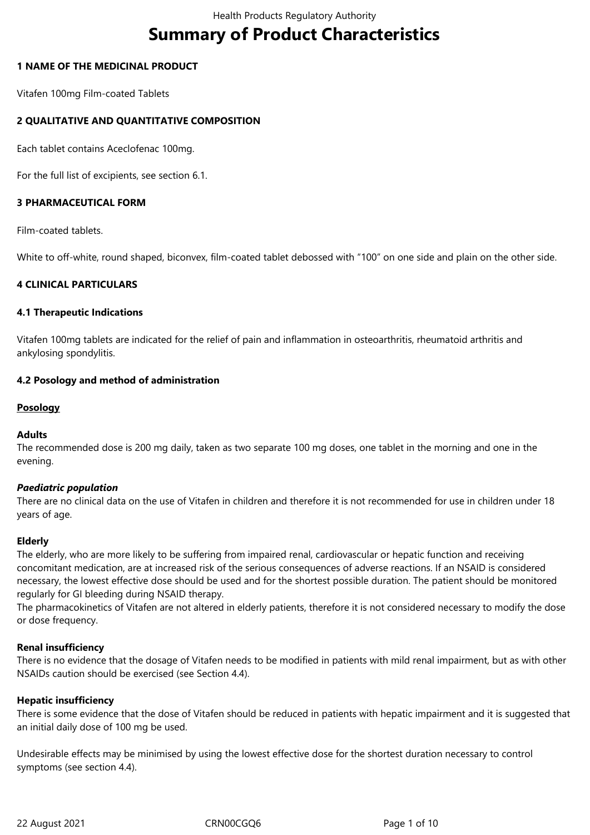# **Summary of Product Characteristics**

# **1 NAME OF THE MEDICINAL PRODUCT**

Vitafen 100mg Film-coated Tablets

# **2 QUALITATIVE AND QUANTITATIVE COMPOSITION**

Each tablet contains Aceclofenac 100mg.

For the full list of excipients, see section 6.1.

# **3 PHARMACEUTICAL FORM**

Film-coated tablets.

White to off-white, round shaped, biconvex, film-coated tablet debossed with "100" on one side and plain on the other side.

# **4 CLINICAL PARTICULARS**

#### **4.1 Therapeutic Indications**

Vitafen 100mg tablets are indicated for the relief of pain and inflammation in osteoarthritis, rheumatoid arthritis and ankylosing spondylitis.

#### **4.2 Posology and method of administration**

# **Posology**

#### **Adults**

The recommended dose is 200 mg daily, taken as two separate 100 mg doses, one tablet in the morning and one in the evening.

#### *Paediatric population*

There are no clinical data on the use of Vitafen in children and therefore it is not recommended for use in children under 18 years of age.

#### **Elderly**

The elderly, who are more likely to be suffering from impaired renal, cardiovascular or hepatic function and receiving concomitant medication, are at increased risk of the serious consequences of adverse reactions. If an NSAID is considered necessary, the lowest effective dose should be used and for the shortest possible duration. The patient should be monitored regularly for GI bleeding during NSAID therapy.

The pharmacokinetics of Vitafen are not altered in elderly patients, therefore it is not considered necessary to modify the dose or dose frequency.

#### **Renal insufficiency**

There is no evidence that the dosage of Vitafen needs to be modified in patients with mild renal impairment, but as with other NSAIDs caution should be exercised (see Section 4.4).

#### **Hepatic insufficiency**

There is some evidence that the dose of Vitafen should be reduced in patients with hepatic impairment and it is suggested that an initial daily dose of 100 mg be used.

Undesirable effects may be minimised by using the lowest effective dose for the shortest duration necessary to control symptoms (see section 4.4).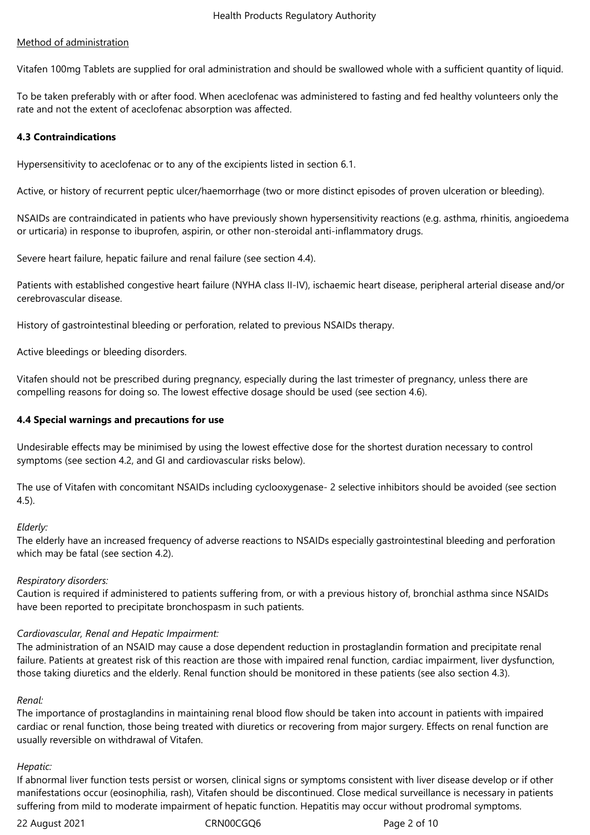## Method of administration

Vitafen 100mg Tablets are supplied for oral administration and should be swallowed whole with a sufficient quantity of liquid.

To be taken preferably with or after food. When aceclofenac was administered to fasting and fed healthy volunteers only the rate and not the extent of aceclofenac absorption was affected.

#### **4.3 Contraindications**

Hypersensitivity to aceclofenac or to any of the excipients listed in section 6.1.

Active, or history of recurrent peptic ulcer/haemorrhage (two or more distinct episodes of proven ulceration or bleeding).

NSAIDs are contraindicated in patients who have previously shown hypersensitivity reactions (e.g. asthma, rhinitis, angioedema or urticaria) in response to ibuprofen, aspirin, or other non-steroidal anti-inflammatory drugs.

Severe heart failure, hepatic failure and renal failure (see section 4.4).

Patients with established congestive heart failure (NYHA class II-IV), ischaemic heart disease, peripheral arterial disease and/or cerebrovascular disease.

History of gastrointestinal bleeding or perforation, related to previous NSAIDs therapy.

Active bleedings or bleeding disorders.

Vitafen should not be prescribed during pregnancy, especially during the last trimester of pregnancy, unless there are compelling reasons for doing so. The lowest effective dosage should be used (see section 4.6).

#### **4.4 Special warnings and precautions for use**

Undesirable effects may be minimised by using the lowest effective dose for the shortest duration necessary to control symptoms (see section 4.2, and GI and cardiovascular risks below).

The use of Vitafen with concomitant NSAIDs including cyclooxygenase- 2 selective inhibitors should be avoided (see section 4.5).

#### *Elderly:*

The elderly have an increased frequency of adverse reactions to NSAIDs especially gastrointestinal bleeding and perforation which may be fatal (see section 4.2).

#### *Respiratory disorders:*

Caution is required if administered to patients suffering from, or with a previous history of, bronchial asthma since NSAIDs have been reported to precipitate bronchospasm in such patients.

#### *Cardiovascular, Renal and Hepatic Impairment:*

The administration of an NSAID may cause a dose dependent reduction in prostaglandin formation and precipitate renal failure. Patients at greatest risk of this reaction are those with impaired renal function, cardiac impairment, liver dysfunction, those taking diuretics and the elderly. Renal function should be monitored in these patients (see also section 4.3).

#### *Renal:*

The importance of prostaglandins in maintaining renal blood flow should be taken into account in patients with impaired cardiac or renal function, those being treated with diuretics or recovering from major surgery. Effects on renal function are usually reversible on withdrawal of Vitafen.

#### *Hepatic:*

If abnormal liver function tests persist or worsen, clinical signs or symptoms consistent with liver disease develop or if other manifestations occur (eosinophilia, rash), Vitafen should be discontinued. Close medical surveillance is necessary in patients suffering from mild to moderate impairment of hepatic function. Hepatitis may occur without prodromal symptoms.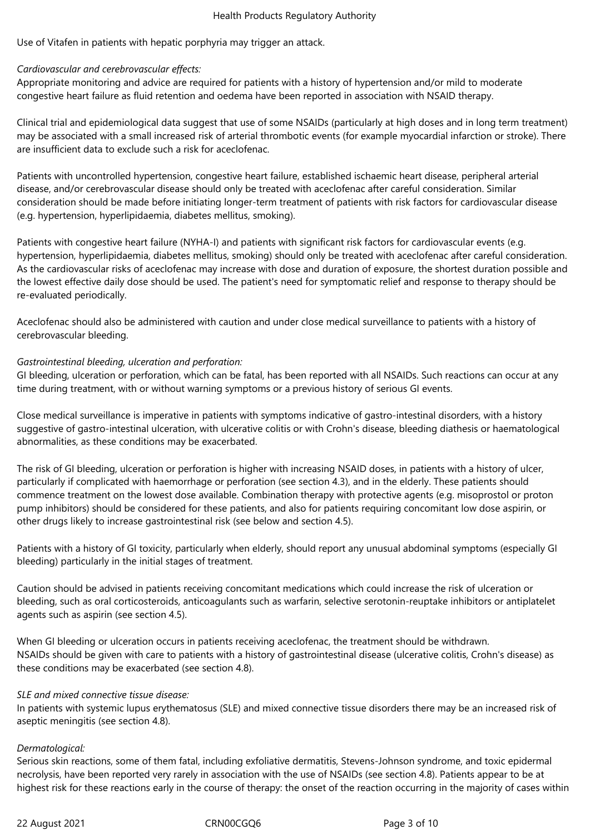Use of Vitafen in patients with hepatic porphyria may trigger an attack.

# *Cardiovascular and cerebrovascular effects:*

Appropriate monitoring and advice are required for patients with a history of hypertension and/or mild to moderate congestive heart failure as fluid retention and oedema have been reported in association with NSAID therapy.

Clinical trial and epidemiological data suggest that use of some NSAIDs (particularly at high doses and in long term treatment) may be associated with a small increased risk of arterial thrombotic events (for example myocardial infarction or stroke). There are insufficient data to exclude such a risk for aceclofenac.

Patients with uncontrolled hypertension, congestive heart failure, established ischaemic heart disease, peripheral arterial disease, and/or cerebrovascular disease should only be treated with aceclofenac after careful consideration. Similar consideration should be made before initiating longer-term treatment of patients with risk factors for cardiovascular disease (e.g. hypertension, hyperlipidaemia, diabetes mellitus, smoking).

Patients with congestive heart failure (NYHA-I) and patients with significant risk factors for cardiovascular events (e.g. hypertension, hyperlipidaemia, diabetes mellitus, smoking) should only be treated with aceclofenac after careful consideration. As the cardiovascular risks of aceclofenac may increase with dose and duration of exposure, the shortest duration possible and the lowest effective daily dose should be used. The patient's need for symptomatic relief and response to therapy should be re-evaluated periodically.

Aceclofenac should also be administered with caution and under close medical surveillance to patients with a history of cerebrovascular bleeding.

# *Gastrointestinal bleeding, ulceration and perforation:*

GI bleeding, ulceration or perforation, which can be fatal, has been reported with all NSAIDs. Such reactions can occur at any time during treatment, with or without warning symptoms or a previous history of serious GI events.

Close medical surveillance is imperative in patients with symptoms indicative of gastro-intestinal disorders, with a history suggestive of gastro-intestinal ulceration, with ulcerative colitis or with Crohn's disease, bleeding diathesis or haematological abnormalities, as these conditions may be exacerbated.

The risk of GI bleeding, ulceration or perforation is higher with increasing NSAID doses, in patients with a history of ulcer, particularly if complicated with haemorrhage or perforation (see section 4.3), and in the elderly. These patients should commence treatment on the lowest dose available. Combination therapy with protective agents (e.g. misoprostol or proton pump inhibitors) should be considered for these patients, and also for patients requiring concomitant low dose aspirin, or other drugs likely to increase gastrointestinal risk (see below and section 4.5).

Patients with a history of GI toxicity, particularly when elderly, should report any unusual abdominal symptoms (especially GI bleeding) particularly in the initial stages of treatment.

Caution should be advised in patients receiving concomitant medications which could increase the risk of ulceration or bleeding, such as oral corticosteroids, anticoagulants such as warfarin, selective serotonin-reuptake inhibitors or antiplatelet agents such as aspirin (see section 4.5).

When GI bleeding or ulceration occurs in patients receiving aceclofenac, the treatment should be withdrawn. NSAIDs should be given with care to patients with a history of gastrointestinal disease (ulcerative colitis, Crohn's disease) as these conditions may be exacerbated (see section 4.8).

# *SLE and mixed connective tissue disease:*

In patients with systemic lupus erythematosus (SLE) and mixed connective tissue disorders there may be an increased risk of aseptic meningitis (see section 4.8).

#### *Dermatological:*

Serious skin reactions, some of them fatal, including exfoliative dermatitis, Stevens-Johnson syndrome, and toxic epidermal necrolysis, have been reported very rarely in association with the use of NSAIDs (see section 4.8). Patients appear to be at highest risk for these reactions early in the course of therapy: the onset of the reaction occurring in the majority of cases within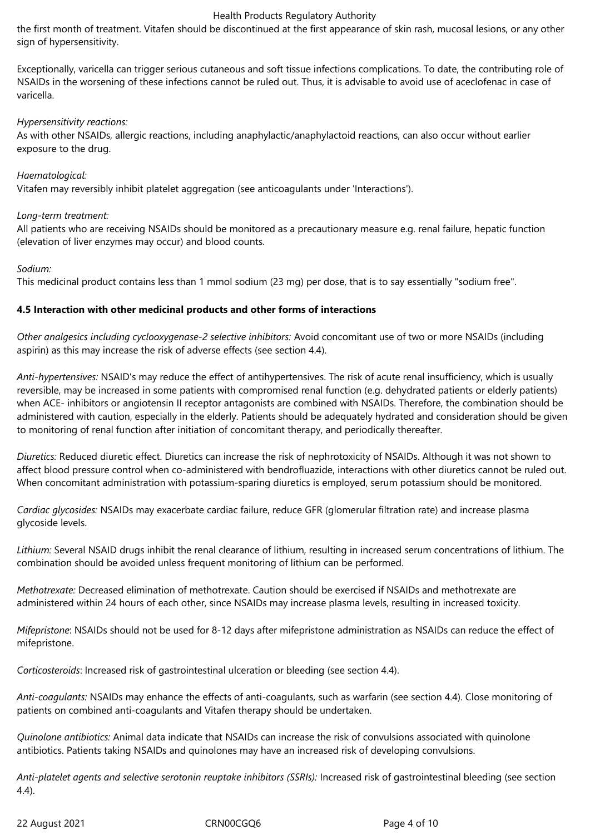the first month of treatment. Vitafen should be discontinued at the first appearance of skin rash, mucosal lesions, or any other sign of hypersensitivity.

Exceptionally, varicella can trigger serious cutaneous and soft tissue infections complications. To date, the contributing role of NSAIDs in the worsening of these infections cannot be ruled out. Thus, it is advisable to avoid use of aceclofenac in case of varicella.

## *Hypersensitivity reactions:*

As with other NSAIDs, allergic reactions, including anaphylactic/anaphylactoid reactions, can also occur without earlier exposure to the drug.

# *Haematological:*

Vitafen may reversibly inhibit platelet aggregation (see anticoagulants under 'Interactions').

# *Long-term treatment:*

All patients who are receiving NSAIDs should be monitored as a precautionary measure e.g. renal failure, hepatic function (elevation of liver enzymes may occur) and blood counts.

# *Sodium:*

This medicinal product contains less than 1 mmol sodium (23 mg) per dose, that is to say essentially "sodium free".

# **4.5 Interaction with other medicinal products and other forms of interactions**

*Other analgesics including cyclooxygenase-2 selective inhibitors:* Avoid concomitant use of two or more NSAIDs (including aspirin) as this may increase the risk of adverse effects (see section 4.4).

*Anti-hypertensives:* NSAID's may reduce the effect of antihypertensives. The risk of acute renal insufficiency, which is usually reversible, may be increased in some patients with compromised renal function (e.g. dehydrated patients or elderly patients) when ACE- inhibitors or angiotensin II receptor antagonists are combined with NSAIDs. Therefore, the combination should be administered with caution, especially in the elderly. Patients should be adequately hydrated and consideration should be given to monitoring of renal function after initiation of concomitant therapy, and periodically thereafter.

*Diuretics:* Reduced diuretic effect. Diuretics can increase the risk of nephrotoxicity of NSAIDs. Although it was not shown to affect blood pressure control when co-administered with bendrofluazide, interactions with other diuretics cannot be ruled out. When concomitant administration with potassium-sparing diuretics is employed, serum potassium should be monitored.

*Cardiac glycosides:* NSAIDs may exacerbate cardiac failure, reduce GFR (glomerular filtration rate) and increase plasma glycoside levels.

*Lithium:* Several NSAID drugs inhibit the renal clearance of lithium, resulting in increased serum concentrations of lithium. The combination should be avoided unless frequent monitoring of lithium can be performed.

*Methotrexate:* Decreased elimination of methotrexate. Caution should be exercised if NSAIDs and methotrexate are administered within 24 hours of each other, since NSAIDs may increase plasma levels, resulting in increased toxicity.

*Mifepristone*: NSAIDs should not be used for 8-12 days after mifepristone administration as NSAIDs can reduce the effect of mifepristone.

*Corticosteroids*: Increased risk of gastrointestinal ulceration or bleeding (see section 4.4).

*Anti-coagulants:* NSAIDs may enhance the effects of anti-coagulants, such as warfarin (see section 4.4). Close monitoring of patients on combined anti-coagulants and Vitafen therapy should be undertaken.

*Quinolone antibiotics:* Animal data indicate that NSAIDs can increase the risk of convulsions associated with quinolone antibiotics. Patients taking NSAIDs and quinolones may have an increased risk of developing convulsions.

*Anti-platelet agents and selective serotonin reuptake inhibitors (SSRIs):* Increased risk of gastrointestinal bleeding (see section 4.4).

22 August 2021 CRN00CGQ6 Page 4 of 10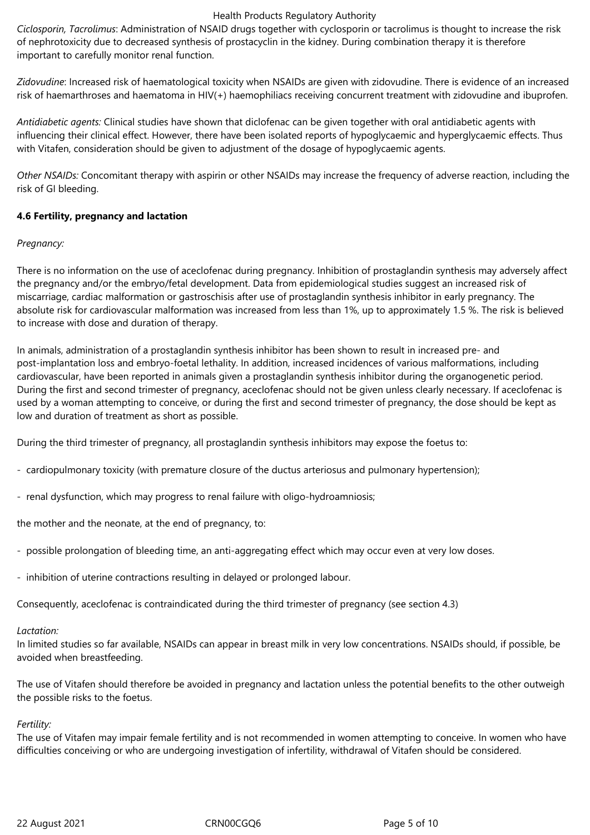*Ciclosporin, Tacrolimus*: Administration of NSAID drugs together with cyclosporin or tacrolimus is thought to increase the risk of nephrotoxicity due to decreased synthesis of prostacyclin in the kidney. During combination therapy it is therefore important to carefully monitor renal function.

*Zidovudine*: Increased risk of haematological toxicity when NSAIDs are given with zidovudine. There is evidence of an increased risk of haemarthroses and haematoma in HIV(+) haemophiliacs receiving concurrent treatment with zidovudine and ibuprofen.

*Antidiabetic agents:* Clinical studies have shown that diclofenac can be given together with oral antidiabetic agents with influencing their clinical effect. However, there have been isolated reports of hypoglycaemic and hyperglycaemic effects. Thus with Vitafen, consideration should be given to adjustment of the dosage of hypoglycaemic agents.

*Other NSAIDs:* Concomitant therapy with aspirin or other NSAIDs may increase the frequency of adverse reaction, including the risk of GI bleeding.

# **4.6 Fertility, pregnancy and lactation**

# *Pregnancy:*

There is no information on the use of aceclofenac during pregnancy. Inhibition of prostaglandin synthesis may adversely affect the pregnancy and/or the embryo/fetal development. Data from epidemiological studies suggest an increased risk of miscarriage, cardiac malformation or gastroschisis after use of prostaglandin synthesis inhibitor in early pregnancy. The absolute risk for cardiovascular malformation was increased from less than 1%, up to approximately 1.5 %. The risk is believed to increase with dose and duration of therapy.

In animals, administration of a prostaglandin synthesis inhibitor has been shown to result in increased pre- and post-implantation loss and embryo-foetal lethality. In addition, increased incidences of various malformations, including cardiovascular, have been reported in animals given a prostaglandin synthesis inhibitor during the organogenetic period. During the first and second trimester of pregnancy, aceclofenac should not be given unless clearly necessary. If aceclofenac is used by a woman attempting to conceive, or during the first and second trimester of pregnancy, the dose should be kept as low and duration of treatment as short as possible.

During the third trimester of pregnancy, all prostaglandin synthesis inhibitors may expose the foetus to:

- cardiopulmonary toxicity (with premature closure of the ductus arteriosus and pulmonary hypertension);
- renal dysfunction, which may progress to renal failure with oligo-hydroamniosis;

the mother and the neonate, at the end of pregnancy, to:

- possible prolongation of bleeding time, an anti-aggregating effect which may occur even at very low doses.
- inhibition of uterine contractions resulting in delayed or prolonged labour.

Consequently, aceclofenac is contraindicated during the third trimester of pregnancy (see section 4.3)

#### *Lactation:*

In limited studies so far available, NSAIDs can appear in breast milk in very low concentrations. NSAIDs should, if possible, be avoided when breastfeeding.

The use of Vitafen should therefore be avoided in pregnancy and lactation unless the potential benefits to the other outweigh the possible risks to the foetus.

#### *Fertility:*

The use of Vitafen may impair female fertility and is not recommended in women attempting to conceive. In women who have difficulties conceiving or who are undergoing investigation of infertility, withdrawal of Vitafen should be considered.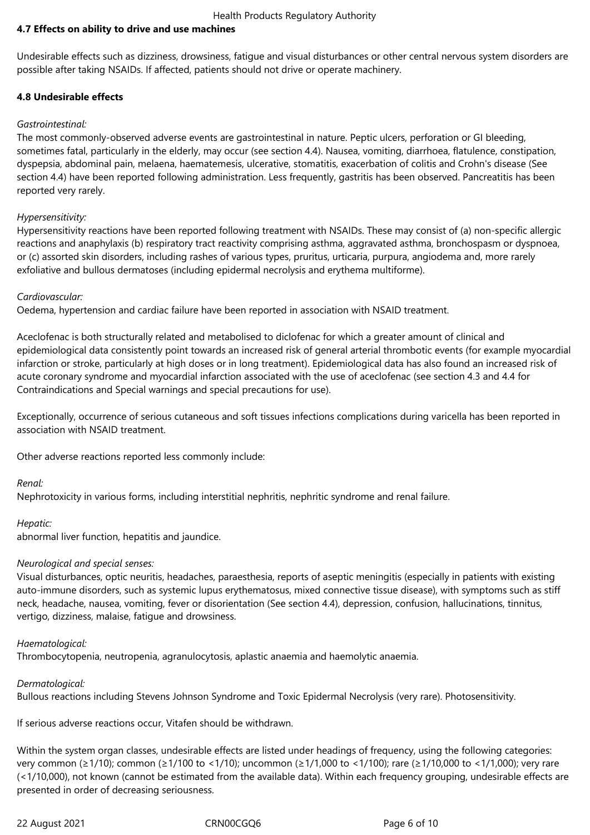# **4.7 Effects on ability to drive and use machines**

Undesirable effects such as dizziness, drowsiness, fatigue and visual disturbances or other central nervous system disorders are possible after taking NSAIDs. If affected, patients should not drive or operate machinery.

#### **4.8 Undesirable effects**

## *Gastrointestinal:*

The most commonly-observed adverse events are gastrointestinal in nature. Peptic ulcers, perforation or GI bleeding, sometimes fatal, particularly in the elderly, may occur (see section 4.4). Nausea, vomiting, diarrhoea, flatulence, constipation, dyspepsia, abdominal pain, melaena, haematemesis, ulcerative, stomatitis, exacerbation of colitis and Crohn's disease (See section 4.4) have been reported following administration. Less frequently, gastritis has been observed. Pancreatitis has been reported very rarely.

# *Hypersensitivity:*

Hypersensitivity reactions have been reported following treatment with NSAIDs. These may consist of (a) non-specific allergic reactions and anaphylaxis (b) respiratory tract reactivity comprising asthma, aggravated asthma, bronchospasm or dyspnoea, or (c) assorted skin disorders, including rashes of various types, pruritus, urticaria, purpura, angiodema and, more rarely exfoliative and bullous dermatoses (including epidermal necrolysis and erythema multiforme).

# *Cardiovascular:*

Oedema, hypertension and cardiac failure have been reported in association with NSAID treatment.

Aceclofenac is both structurally related and metabolised to diclofenac for which a greater amount of clinical and epidemiological data consistently point towards an increased risk of general arterial thrombotic events (for example myocardial infarction or stroke, particularly at high doses or in long treatment). Epidemiological data has also found an increased risk of acute coronary syndrome and myocardial infarction associated with the use of aceclofenac (see section 4.3 and 4.4 for Contraindications and Special warnings and special precautions for use).

Exceptionally, occurrence of serious cutaneous and soft tissues infections complications during varicella has been reported in association with NSAID treatment.

Other adverse reactions reported less commonly include:

# *Renal:*

Nephrotoxicity in various forms, including interstitial nephritis, nephritic syndrome and renal failure.

#### *Hepatic:*

abnormal liver function, hepatitis and jaundice.

#### *Neurological and special senses:*

Visual disturbances, optic neuritis, headaches, paraesthesia, reports of aseptic meningitis (especially in patients with existing auto-immune disorders, such as systemic lupus erythematosus, mixed connective tissue disease), with symptoms such as stiff neck, headache, nausea, vomiting, fever or disorientation (See section 4.4), depression, confusion, hallucinations, tinnitus, vertigo, dizziness, malaise, fatigue and drowsiness.

#### *Haematological:*

Thrombocytopenia, neutropenia, agranulocytosis, aplastic anaemia and haemolytic anaemia.

# *Dermatological:*

Bullous reactions including Stevens Johnson Syndrome and Toxic Epidermal Necrolysis (very rare). Photosensitivity.

If serious adverse reactions occur, Vitafen should be withdrawn.

Within the system organ classes, undesirable effects are listed under headings of frequency, using the following categories: very common (≥1/10); common (≥1/100 to <1/10); uncommon (≥1/1,000 to <1/100); rare (≥1/10,000 to <1/1,000); very rare (<1/10,000), not known (cannot be estimated from the available data). Within each frequency grouping, undesirable effects are presented in order of decreasing seriousness.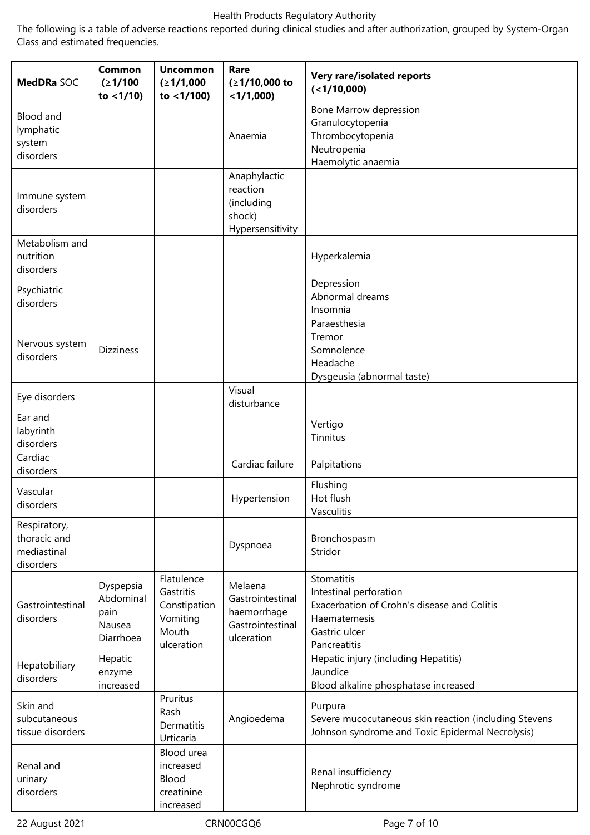The following is a table of adverse reactions reported during clinical studies and after authorization, grouped by System-Organ Class and estimated frequencies.

| MedDRa SOC                                               | Common<br>(21/100)<br>to $<$ 1/10)                    | <b>Uncommon</b><br>(≥1/1,000<br>to $<$ 1/100)                              | Rare<br>$(≥1/10,000$ to<br>$<$ 1/1,000)                                      | Very rare/isolated reports<br>(<1/10,000)                                                                                            |
|----------------------------------------------------------|-------------------------------------------------------|----------------------------------------------------------------------------|------------------------------------------------------------------------------|--------------------------------------------------------------------------------------------------------------------------------------|
| Blood and<br>lymphatic<br>system<br>disorders            |                                                       |                                                                            | Anaemia                                                                      | Bone Marrow depression<br>Granulocytopenia<br>Thrombocytopenia<br>Neutropenia<br>Haemolytic anaemia                                  |
| Immune system<br>disorders                               |                                                       |                                                                            | Anaphylactic<br>reaction<br>(including<br>shock)<br>Hypersensitivity         |                                                                                                                                      |
| Metabolism and<br>nutrition<br>disorders                 |                                                       |                                                                            |                                                                              | Hyperkalemia                                                                                                                         |
| Psychiatric<br>disorders                                 |                                                       |                                                                            |                                                                              | Depression<br>Abnormal dreams<br>Insomnia                                                                                            |
| Nervous system<br>disorders                              | <b>Dizziness</b>                                      |                                                                            |                                                                              | Paraesthesia<br>Tremor<br>Somnolence<br>Headache<br>Dysgeusia (abnormal taste)                                                       |
| Eye disorders                                            |                                                       |                                                                            | Visual<br>disturbance                                                        |                                                                                                                                      |
| Ear and<br>labyrinth<br>disorders                        |                                                       |                                                                            |                                                                              | Vertigo<br>Tinnitus                                                                                                                  |
| Cardiac<br>disorders                                     |                                                       |                                                                            | Cardiac failure                                                              | Palpitations                                                                                                                         |
| Vascular<br>disorders                                    |                                                       |                                                                            | Hypertension                                                                 | Flushing<br>Hot flush<br>Vasculitis                                                                                                  |
| Respiratory,<br>thoracic and<br>mediastinal<br>disorders |                                                       |                                                                            | Dyspnoea                                                                     | Bronchospasm<br>Stridor                                                                                                              |
| Gastrointestinal<br>disorders                            | Dyspepsia<br>Abdominal<br>pain<br>Nausea<br>Diarrhoea | Flatulence<br>Gastritis<br>Constipation<br>Vomiting<br>Mouth<br>ulceration | Melaena<br>Gastrointestinal<br>haemorrhage<br>Gastrointestinal<br>ulceration | Stomatitis<br>Intestinal perforation<br>Exacerbation of Crohn's disease and Colitis<br>Haematemesis<br>Gastric ulcer<br>Pancreatitis |
| Hepatobiliary<br>disorders                               | Hepatic<br>enzyme<br>increased                        |                                                                            |                                                                              | Hepatic injury (including Hepatitis)<br>Jaundice<br>Blood alkaline phosphatase increased                                             |
| Skin and<br>subcutaneous<br>tissue disorders             |                                                       | Pruritus<br>Rash<br>Dermatitis<br>Urticaria                                | Angioedema                                                                   | Purpura<br>Severe mucocutaneous skin reaction (including Stevens<br>Johnson syndrome and Toxic Epidermal Necrolysis)                 |
| Renal and<br>urinary<br>disorders                        |                                                       | Blood urea<br>increased<br>Blood<br>creatinine<br>increased                |                                                                              | Renal insufficiency<br>Nephrotic syndrome                                                                                            |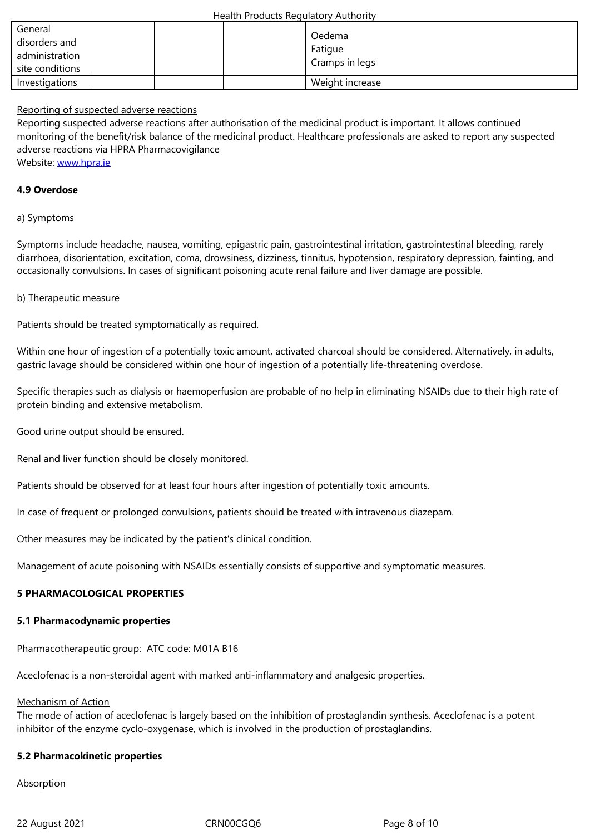| administration<br>site conditions |  | <del>- raugue</del><br>Cramps in legs |
|-----------------------------------|--|---------------------------------------|
| Investigations                    |  | Weight increase                       |

#### Reporting of suspected adverse reactions

Reporting suspected adverse reactions after authorisation of the medicinal product is important. It allows continued monitoring of the benefit/risk balance of the medicinal product. Healthcare professionals are asked to report any suspected adverse reactions via HPRA Pharmacovigilance Website: www.hpra.ie

#### **4.9 Overdose**

#### a) Sympt[oms](http://www.hpra.ie/)

Symptoms include headache, nausea, vomiting, epigastric pain, gastrointestinal irritation, gastrointestinal bleeding, rarely diarrhoea, disorientation, excitation, coma, drowsiness, dizziness, tinnitus, hypotension, respiratory depression, fainting, and occasionally convulsions. In cases of significant poisoning acute renal failure and liver damage are possible.

#### b) Therapeutic measure

Patients should be treated symptomatically as required.

Within one hour of ingestion of a potentially toxic amount, activated charcoal should be considered. Alternatively, in adults, gastric lavage should be considered within one hour of ingestion of a potentially life-threatening overdose.

Specific therapies such as dialysis or haemoperfusion are probable of no help in eliminating NSAIDs due to their high rate of protein binding and extensive metabolism.

Good urine output should be ensured.

Renal and liver function should be closely monitored.

Patients should be observed for at least four hours after ingestion of potentially toxic amounts.

In case of frequent or prolonged convulsions, patients should be treated with intravenous diazepam.

Other measures may be indicated by the patient's clinical condition.

Management of acute poisoning with NSAIDs essentially consists of supportive and symptomatic measures.

#### **5 PHARMACOLOGICAL PROPERTIES**

#### **5.1 Pharmacodynamic properties**

Pharmacotherapeutic group: ATC code: M01A B16

Aceclofenac is a non-steroidal agent with marked anti-inflammatory and analgesic properties.

#### Mechanism of Action

The mode of action of aceclofenac is largely based on the inhibition of prostaglandin synthesis. Aceclofenac is a potent inhibitor of the enzyme cyclo-oxygenase, which is involved in the production of prostaglandins.

#### **5.2 Pharmacokinetic properties**

**Absorption**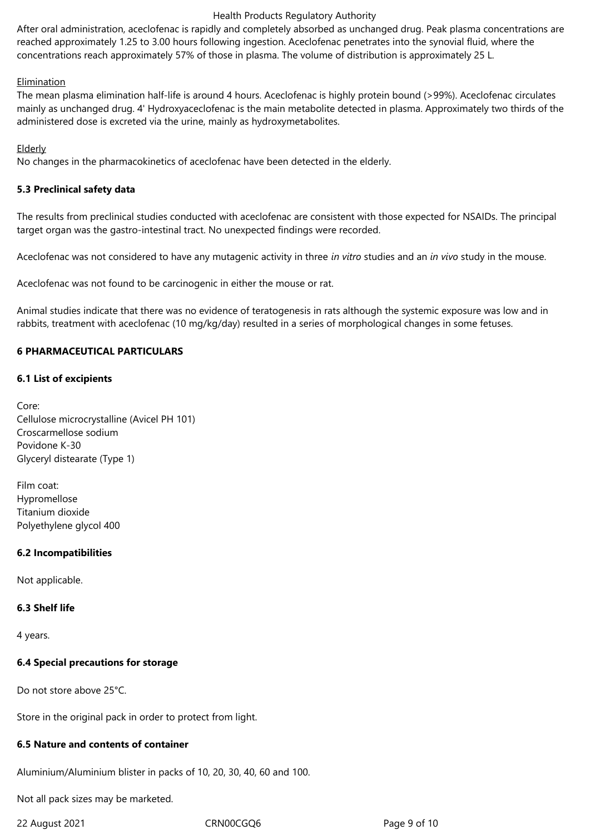After oral administration, aceclofenac is rapidly and completely absorbed as unchanged drug. Peak plasma concentrations are reached approximately 1.25 to 3.00 hours following ingestion. Aceclofenac penetrates into the synovial fluid, where the concentrations reach approximately 57% of those in plasma. The volume of distribution is approximately 25 L.

## Elimination

The mean plasma elimination half-life is around 4 hours. Aceclofenac is highly protein bound (>99%). Aceclofenac circulates mainly as unchanged drug. 4' Hydroxyaceclofenac is the main metabolite detected in plasma. Approximately two thirds of the administered dose is excreted via the urine, mainly as hydroxymetabolites.

# Elderly

No changes in the pharmacokinetics of aceclofenac have been detected in the elderly.

# **5.3 Preclinical safety data**

The results from preclinical studies conducted with aceclofenac are consistent with those expected for NSAIDs. The principal target organ was the gastro-intestinal tract. No unexpected findings were recorded.

Aceclofenac was not considered to have any mutagenic activity in three *in vitro* studies and an *in vivo* study in the mouse.

Aceclofenac was not found to be carcinogenic in either the mouse or rat.

Animal studies indicate that there was no evidence of teratogenesis in rats although the systemic exposure was low and in rabbits, treatment with aceclofenac (10 mg/kg/day) resulted in a series of morphological changes in some fetuses.

# **6 PHARMACEUTICAL PARTICULARS**

# **6.1 List of excipients**

Core: Cellulose microcrystalline (Avicel PH 101) Croscarmellose sodium Povidone K-30 Glyceryl distearate (Type 1)

Film coat: Hypromellose Titanium dioxide Polyethylene glycol 400

# **6.2 Incompatibilities**

Not applicable.

# **6.3 Shelf life**

4 years.

# **6.4 Special precautions for storage**

Do not store above 25°C.

Store in the original pack in order to protect from light.

#### **6.5 Nature and contents of container**

Aluminium/Aluminium blister in packs of 10, 20, 30, 40, 60 and 100.

Not all pack sizes may be marketed.

22 August 2021 **CRN00CGQ6** Page 9 of 10